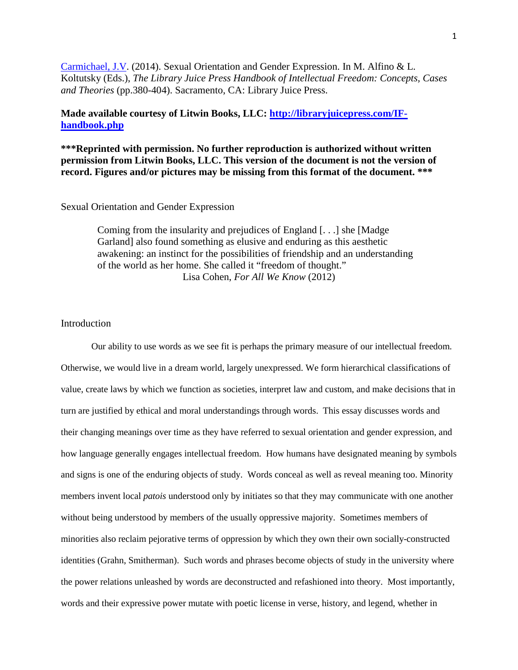[Carmichael, J.V.](https://libres.uncg.edu/ir/uncg/clist.aspx?id=1103) (2014). Sexual Orientation and Gender Expression. In M. Alfino & L. Koltutsky (Eds.), *The Library Juice Press Handbook of Intellectual Freedom: Concepts, Cases and Theories* (pp.380-404). Sacramento, CA: Library Juice Press.

# **Made available courtesy of Litwin Books, LLC: [http://libraryjuicepress.com/IF](http://libraryjuicepress.com/IF-handbook.php)[handbook.php](http://libraryjuicepress.com/IF-handbook.php)**

**\*\*\*Reprinted with permission. No further reproduction is authorized without written permission from Litwin Books, LLC. This version of the document is not the version of record. Figures and/or pictures may be missing from this format of the document. \*\*\***

#### Sexual Orientation and Gender Expression

Coming from the insularity and prejudices of England [. . .] she [Madge Garland] also found something as elusive and enduring as this aesthetic awakening: an instinct for the possibilities of friendship and an understanding of the world as her home. She called it "freedom of thought." Lisa Cohen, *For All We Know* (2012)

## **Introduction**

Our ability to use words as we see fit is perhaps the primary measure of our intellectual freedom. Otherwise, we would live in a dream world, largely unexpressed. We form hierarchical classifications of value, create laws by which we function as societies, interpret law and custom, and make decisions that in turn are justified by ethical and moral understandings through words. This essay discusses words and their changing meanings over time as they have referred to sexual orientation and gender expression, and how language generally engages intellectual freedom. How humans have designated meaning by symbols and signs is one of the enduring objects of study. Words conceal as well as reveal meaning too. Minority members invent local *patois* understood only by initiates so that they may communicate with one another without being understood by members of the usually oppressive majority. Sometimes members of minorities also reclaim pejorative terms of oppression by which they own their own socially-constructed identities (Grahn, Smitherman). Such words and phrases become objects of study in the university where the power relations unleashed by words are deconstructed and refashioned into theory. Most importantly, words and their expressive power mutate with poetic license in verse, history, and legend, whether in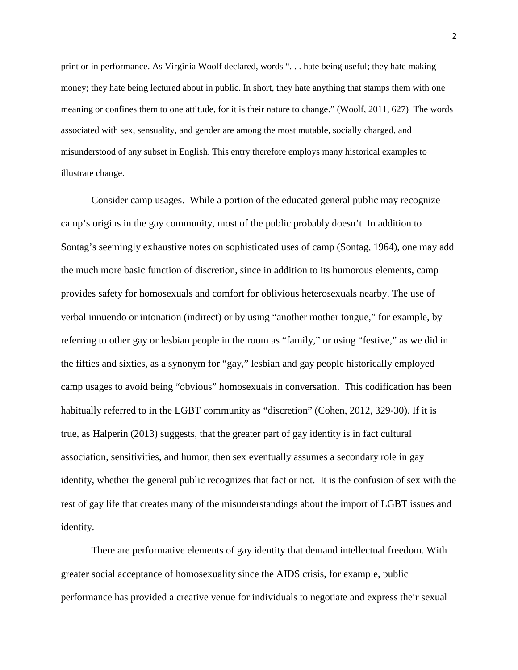print or in performance. As Virginia Woolf declared, words ". . . hate being useful; they hate making money; they hate being lectured about in public. In short, they hate anything that stamps them with one meaning or confines them to one attitude, for it is their nature to change." (Woolf, 2011, 627) The words associated with sex, sensuality, and gender are among the most mutable, socially charged, and misunderstood of any subset in English. This entry therefore employs many historical examples to illustrate change.

Consider camp usages. While a portion of the educated general public may recognize camp's origins in the gay community, most of the public probably doesn't. In addition to Sontag's seemingly exhaustive notes on sophisticated uses of camp (Sontag, 1964), one may add the much more basic function of discretion, since in addition to its humorous elements, camp provides safety for homosexuals and comfort for oblivious heterosexuals nearby. The use of verbal innuendo or intonation (indirect) or by using "another mother tongue," for example, by referring to other gay or lesbian people in the room as "family," or using "festive," as we did in the fifties and sixties, as a synonym for "gay," lesbian and gay people historically employed camp usages to avoid being "obvious" homosexuals in conversation. This codification has been habitually referred to in the LGBT community as "discretion" (Cohen, 2012, 329-30). If it is true, as Halperin (2013) suggests, that the greater part of gay identity is in fact cultural association, sensitivities, and humor, then sex eventually assumes a secondary role in gay identity, whether the general public recognizes that fact or not. It is the confusion of sex with the rest of gay life that creates many of the misunderstandings about the import of LGBT issues and identity.

There are performative elements of gay identity that demand intellectual freedom. With greater social acceptance of homosexuality since the AIDS crisis, for example, public performance has provided a creative venue for individuals to negotiate and express their sexual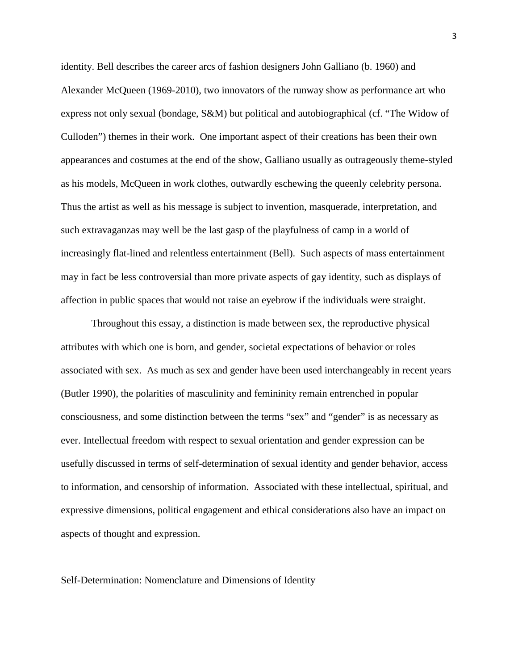identity. Bell describes the career arcs of fashion designers John Galliano (b. 1960) and Alexander McQueen (1969-2010), two innovators of the runway show as performance art who express not only sexual (bondage, S&M) but political and autobiographical (cf. "The Widow of Culloden") themes in their work. One important aspect of their creations has been their own appearances and costumes at the end of the show, Galliano usually as outrageously theme-styled as his models, McQueen in work clothes, outwardly eschewing the queenly celebrity persona. Thus the artist as well as his message is subject to invention, masquerade, interpretation, and such extravaganzas may well be the last gasp of the playfulness of camp in a world of increasingly flat-lined and relentless entertainment (Bell). Such aspects of mass entertainment may in fact be less controversial than more private aspects of gay identity, such as displays of affection in public spaces that would not raise an eyebrow if the individuals were straight.

Throughout this essay, a distinction is made between sex, the reproductive physical attributes with which one is born, and gender, societal expectations of behavior or roles associated with sex. As much as sex and gender have been used interchangeably in recent years (Butler 1990), the polarities of masculinity and femininity remain entrenched in popular consciousness, and some distinction between the terms "sex" and "gender" is as necessary as ever. Intellectual freedom with respect to sexual orientation and gender expression can be usefully discussed in terms of self-determination of sexual identity and gender behavior, access to information, and censorship of information. Associated with these intellectual, spiritual, and expressive dimensions, political engagement and ethical considerations also have an impact on aspects of thought and expression.

#### Self-Determination: Nomenclature and Dimensions of Identity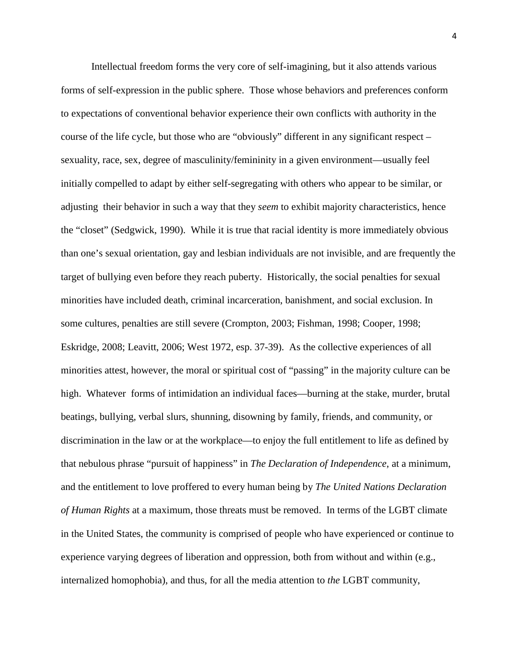Intellectual freedom forms the very core of self-imagining, but it also attends various forms of self-expression in the public sphere. Those whose behaviors and preferences conform to expectations of conventional behavior experience their own conflicts with authority in the course of the life cycle, but those who are "obviously" different in any significant respect – sexuality, race, sex, degree of masculinity/femininity in a given environment—usually feel initially compelled to adapt by either self-segregating with others who appear to be similar, or adjusting their behavior in such a way that they *seem* to exhibit majority characteristics, hence the "closet" (Sedgwick, 1990). While it is true that racial identity is more immediately obvious than one's sexual orientation, gay and lesbian individuals are not invisible, and are frequently the target of bullying even before they reach puberty. Historically, the social penalties for sexual minorities have included death, criminal incarceration, banishment, and social exclusion. In some cultures, penalties are still severe (Crompton, 2003; Fishman, 1998; Cooper, 1998; Eskridge, 2008; Leavitt, 2006; West 1972, esp. 37-39). As the collective experiences of all minorities attest, however, the moral or spiritual cost of "passing" in the majority culture can be high. Whatever forms of intimidation an individual faces—burning at the stake, murder, brutal beatings, bullying, verbal slurs, shunning, disowning by family, friends, and community, or discrimination in the law or at the workplace—to enjoy the full entitlement to life as defined by that nebulous phrase "pursuit of happiness" in *The Declaration of Independence*, at a minimum, and the entitlement to love proffered to every human being by *The United Nations Declaration of Human Rights* at a maximum, those threats must be removed. In terms of the LGBT climate in the United States, the community is comprised of people who have experienced or continue to experience varying degrees of liberation and oppression, both from without and within (e.g., internalized homophobia), and thus, for all the media attention to *the* LGBT community,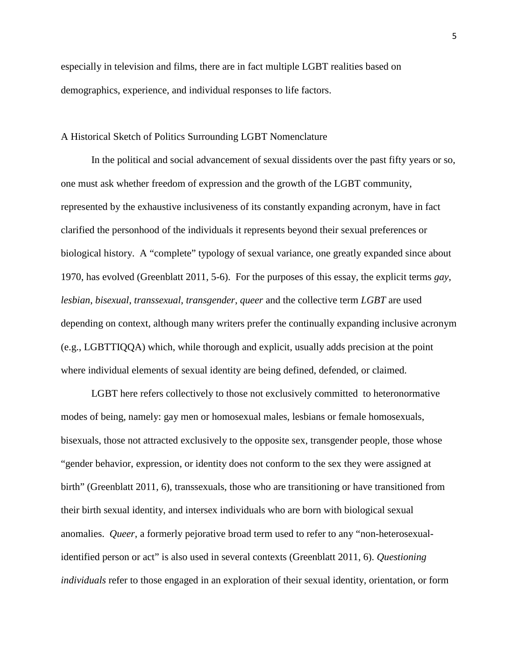especially in television and films, there are in fact multiple LGBT realities based on demographics, experience, and individual responses to life factors.

#### A Historical Sketch of Politics Surrounding LGBT Nomenclature

In the political and social advancement of sexual dissidents over the past fifty years or so, one must ask whether freedom of expression and the growth of the LGBT community, represented by the exhaustive inclusiveness of its constantly expanding acronym, have in fact clarified the personhood of the individuals it represents beyond their sexual preferences or biological history. A "complete" typology of sexual variance, one greatly expanded since about 1970, has evolved (Greenblatt 2011, 5-6). For the purposes of this essay, the explicit terms *gay*, *lesbian*, *bisexual*, *transsexual*, *transgender*, *queer* and the collective term *LGBT* are used depending on context, although many writers prefer the continually expanding inclusive acronym (e.g., LGBTTIQQA) which, while thorough and explicit, usually adds precision at the point where individual elements of sexual identity are being defined, defended, or claimed.

LGBT here refers collectively to those not exclusively committed to heteronormative modes of being, namely: gay men or homosexual males, lesbians or female homosexuals, bisexuals, those not attracted exclusively to the opposite sex, transgender people, those whose "gender behavior, expression, or identity does not conform to the sex they were assigned at birth" (Greenblatt 2011, 6), transsexuals, those who are transitioning or have transitioned from their birth sexual identity, and intersex individuals who are born with biological sexual anomalies. *Queer*, a formerly pejorative broad term used to refer to any "non-heterosexualidentified person or act" is also used in several contexts (Greenblatt 2011, 6). *Questioning individuals* refer to those engaged in an exploration of their sexual identity, orientation, or form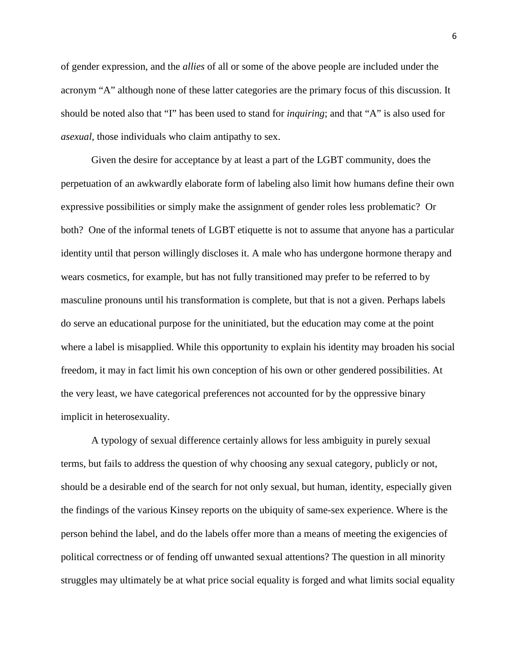of gender expression, and the *allies* of all or some of the above people are included under the acronym "A" although none of these latter categories are the primary focus of this discussion. It should be noted also that "I" has been used to stand for *inquiring*; and that "A" is also used for *asexual*, those individuals who claim antipathy to sex.

Given the desire for acceptance by at least a part of the LGBT community, does the perpetuation of an awkwardly elaborate form of labeling also limit how humans define their own expressive possibilities or simply make the assignment of gender roles less problematic? Or both? One of the informal tenets of LGBT etiquette is not to assume that anyone has a particular identity until that person willingly discloses it. A male who has undergone hormone therapy and wears cosmetics, for example, but has not fully transitioned may prefer to be referred to by masculine pronouns until his transformation is complete, but that is not a given. Perhaps labels do serve an educational purpose for the uninitiated, but the education may come at the point where a label is misapplied. While this opportunity to explain his identity may broaden his social freedom, it may in fact limit his own conception of his own or other gendered possibilities. At the very least, we have categorical preferences not accounted for by the oppressive binary implicit in heterosexuality.

A typology of sexual difference certainly allows for less ambiguity in purely sexual terms, but fails to address the question of why choosing any sexual category, publicly or not, should be a desirable end of the search for not only sexual, but human, identity, especially given the findings of the various Kinsey reports on the ubiquity of same-sex experience. Where is the person behind the label, and do the labels offer more than a means of meeting the exigencies of political correctness or of fending off unwanted sexual attentions? The question in all minority struggles may ultimately be at what price social equality is forged and what limits social equality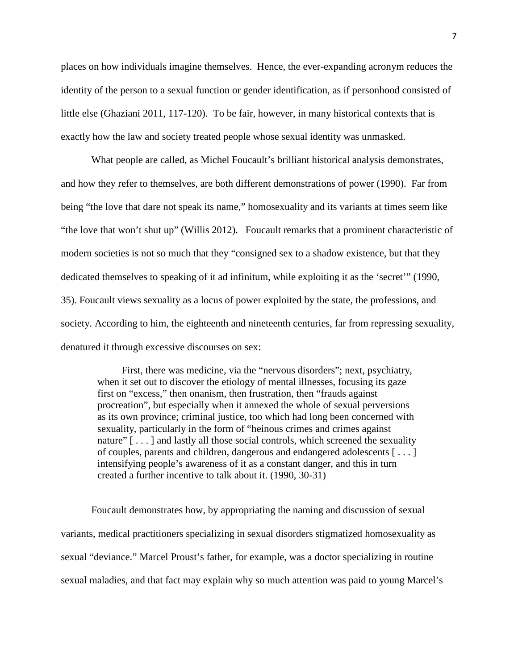places on how individuals imagine themselves. Hence, the ever-expanding acronym reduces the identity of the person to a sexual function or gender identification, as if personhood consisted of little else (Ghaziani 2011, 117-120). To be fair, however, in many historical contexts that is exactly how the law and society treated people whose sexual identity was unmasked.

What people are called, as Michel Foucault's brilliant historical analysis demonstrates, and how they refer to themselves, are both different demonstrations of power (1990). Far from being "the love that dare not speak its name," homosexuality and its variants at times seem like "the love that won't shut up" (Willis 2012). Foucault remarks that a prominent characteristic of modern societies is not so much that they "consigned sex to a shadow existence, but that they dedicated themselves to speaking of it ad infinitum, while exploiting it as the 'secret'" (1990, 35). Foucault views sexuality as a locus of power exploited by the state, the professions, and society. According to him, the eighteenth and nineteenth centuries, far from repressing sexuality, denatured it through excessive discourses on sex:

First, there was medicine, via the "nervous disorders"; next, psychiatry, when it set out to discover the etiology of mental illnesses, focusing its gaze first on "excess," then onanism, then frustration, then "frauds against procreation", but especially when it annexed the whole of sexual perversions as its own province; criminal justice, too which had long been concerned with sexuality, particularly in the form of "heinous crimes and crimes against nature" [ . . . ] and lastly all those social controls, which screened the sexuality of couples, parents and children, dangerous and endangered adolescents [ . . . ] intensifying people's awareness of it as a constant danger, and this in turn created a further incentive to talk about it. (1990, 30-31)

Foucault demonstrates how, by appropriating the naming and discussion of sexual variants, medical practitioners specializing in sexual disorders stigmatized homosexuality as sexual "deviance." Marcel Proust's father, for example, was a doctor specializing in routine sexual maladies, and that fact may explain why so much attention was paid to young Marcel's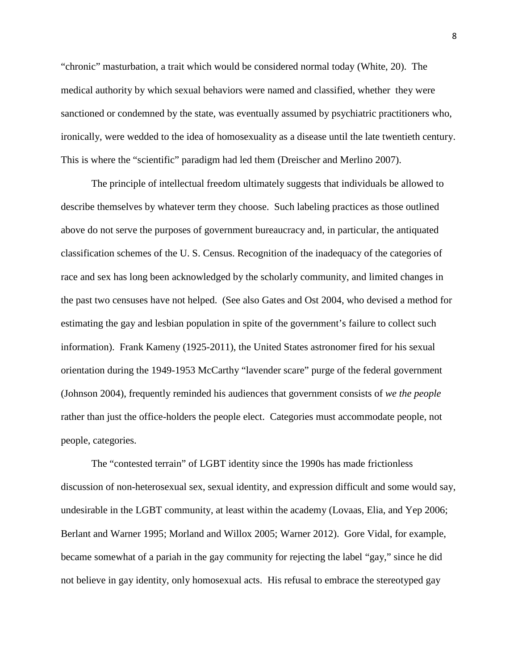"chronic" masturbation, a trait which would be considered normal today (White, 20). The medical authority by which sexual behaviors were named and classified, whether they were sanctioned or condemned by the state, was eventually assumed by psychiatric practitioners who, ironically, were wedded to the idea of homosexuality as a disease until the late twentieth century. This is where the "scientific" paradigm had led them (Dreischer and Merlino 2007).

The principle of intellectual freedom ultimately suggests that individuals be allowed to describe themselves by whatever term they choose. Such labeling practices as those outlined above do not serve the purposes of government bureaucracy and, in particular, the antiquated classification schemes of the U. S. Census. Recognition of the inadequacy of the categories of race and sex has long been acknowledged by the scholarly community, and limited changes in the past two censuses have not helped. (See also Gates and Ost 2004, who devised a method for estimating the gay and lesbian population in spite of the government's failure to collect such information). Frank Kameny (1925-2011), the United States astronomer fired for his sexual orientation during the 1949-1953 McCarthy "lavender scare" purge of the federal government (Johnson 2004), frequently reminded his audiences that government consists of *we the people* rather than just the office-holders the people elect. Categories must accommodate people, not people, categories.

The "contested terrain" of LGBT identity since the 1990s has made frictionless discussion of non-heterosexual sex, sexual identity, and expression difficult and some would say, undesirable in the LGBT community, at least within the academy (Lovaas, Elia, and Yep 2006; Berlant and Warner 1995; Morland and Willox 2005; Warner 2012). Gore Vidal, for example, became somewhat of a pariah in the gay community for rejecting the label "gay," since he did not believe in gay identity, only homosexual acts. His refusal to embrace the stereotyped gay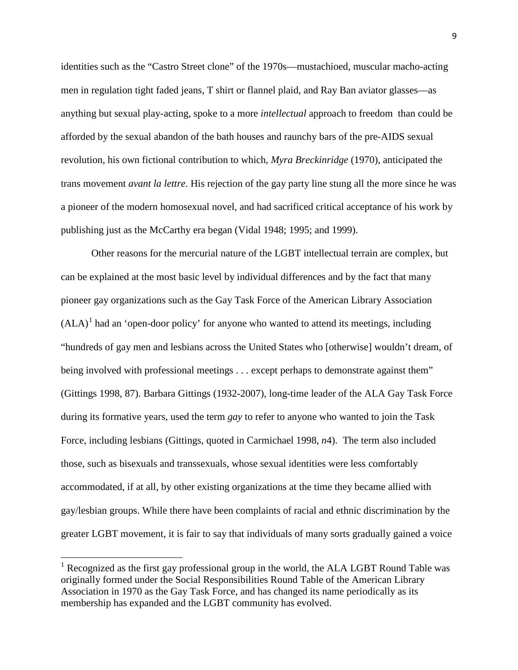identities such as the "Castro Street clone" of the 1970s—mustachioed, muscular macho-acting men in regulation tight faded jeans, T shirt or flannel plaid, and Ray Ban aviator glasses—as anything but sexual play-acting, spoke to a more *intellectual* approach to freedom than could be afforded by the sexual abandon of the bath houses and raunchy bars of the pre-AIDS sexual revolution, his own fictional contribution to which, *Myra Breckinridge* (1970), anticipated the trans movement *avant la lettre.* His rejection of the gay party line stung all the more since he was a pioneer of the modern homosexual novel, and had sacrificed critical acceptance of his work by publishing just as the McCarthy era began (Vidal 1948; 1995; and 1999).

Other reasons for the mercurial nature of the LGBT intellectual terrain are complex, but can be explained at the most basic level by individual differences and by the fact that many pioneer gay organizations such as the Gay Task Force of the American Library Association  $(ALA)^1$  $(ALA)^1$  had an 'open-door policy' for anyone who wanted to attend its meetings, including "hundreds of gay men and lesbians across the United States who [otherwise] wouldn't dream, of being involved with professional meetings . . . except perhaps to demonstrate against them" (Gittings 1998, 87). Barbara Gittings (1932-2007), long-time leader of the ALA Gay Task Force during its formative years, used the term *gay* to refer to anyone who wanted to join the Task Force, including lesbians (Gittings, quoted in Carmichael 1998, *n*4). The term also included those, such as bisexuals and transsexuals, whose sexual identities were less comfortably accommodated, if at all, by other existing organizations at the time they became allied with gay/lesbian groups. While there have been complaints of racial and ethnic discrimination by the greater LGBT movement, it is fair to say that individuals of many sorts gradually gained a voice

<span id="page-8-0"></span><sup>1</sup> Recognized as the first gay professional group in the world, the ALA LGBT Round Table was originally formed under the Social Responsibilities Round Table of the American Library Association in 1970 as the Gay Task Force, and has changed its name periodically as its membership has expanded and the LGBT community has evolved.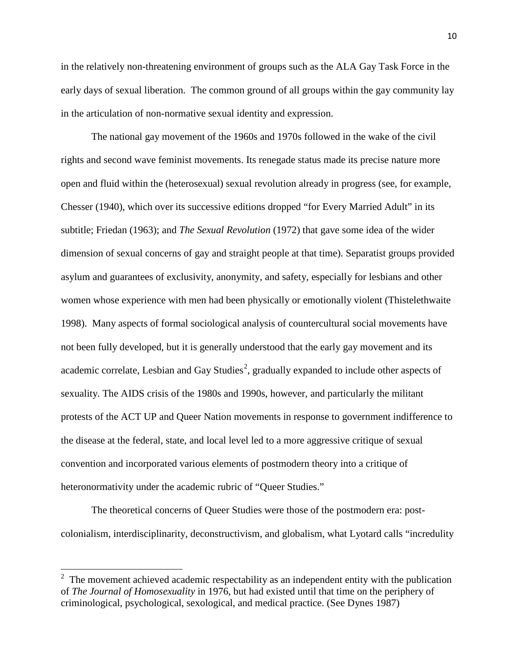in the relatively non-threatening environment of groups such as the ALA Gay Task Force in the early days of sexual liberation. The common ground of all groups within the gay community lay in the articulation of non-normative sexual identity and expression.

The national gay movement of the 1960s and 1970s followed in the wake of the civil rights and second wave feminist movements. Its renegade status made its precise nature more open and fluid within the (heterosexual) sexual revolution already in progress (see, for example, Chesser (1940), which over its successive editions dropped "for Every Married Adult" in its subtitle; Friedan (1963); and *The Sexual Revolution* (1972) that gave some idea of the wider dimension of sexual concerns of gay and straight people at that time). Separatist groups provided asylum and guarantees of exclusivity, anonymity, and safety, especially for lesbians and other women whose experience with men had been physically or emotionally violent (Thistelethwaite 1998). Many aspects of formal sociological analysis of countercultural social movements have not been fully developed, but it is generally understood that the early gay movement and its academic correlate, Lesbian and Gay Studies<sup>[2](#page-9-0)</sup>, gradually expanded to include other aspects of sexuality. The AIDS crisis of the 1980s and 1990s, however, and particularly the militant protests of the ACT UP and Queer Nation movements in response to government indifference to the disease at the federal, state, and local level led to a more aggressive critique of sexual convention and incorporated various elements of postmodern theory into a critique of heteronormativity under the academic rubric of "Queer Studies."

The theoretical concerns of Queer Studies were those of the postmodern era: postcolonialism, interdisciplinarity, deconstructivism, and globalism, what Lyotard calls "incredulity

<span id="page-9-0"></span><sup>&</sup>lt;sup>2</sup> The movement achieved academic respectability as an independent entity with the publication of *The Journal of Homosexuality* in 1976, but had existed until that time on the periphery of criminological, psychological, sexological, and medical practice. (See Dynes 1987)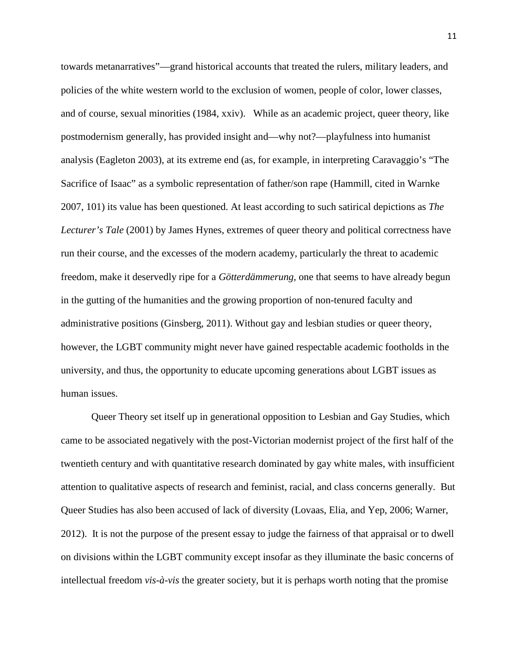towards metanarratives"—grand historical accounts that treated the rulers, military leaders, and policies of the white western world to the exclusion of women, people of color, lower classes, and of course, sexual minorities (1984, xxiv). While as an academic project, queer theory, like postmodernism generally, has provided insight and—why not?—playfulness into humanist analysis (Eagleton 2003), at its extreme end (as, for example, in interpreting Caravaggio's "The Sacrifice of Isaac" as a symbolic representation of father/son rape (Hammill, cited in Warnke 2007, 101) its value has been questioned. At least according to such satirical depictions as *The Lecturer's Tale* (2001) by James Hynes, extremes of queer theory and political correctness have run their course, and the excesses of the modern academy, particularly the threat to academic freedom, make it deservedly ripe for a *Götterdämmerung,* one that seems to have already begun in the gutting of the humanities and the growing proportion of non-tenured faculty and administrative positions (Ginsberg, 2011). Without gay and lesbian studies or queer theory, however, the LGBT community might never have gained respectable academic footholds in the university, and thus, the opportunity to educate upcoming generations about LGBT issues as human issues.

Queer Theory set itself up in generational opposition to Lesbian and Gay Studies, which came to be associated negatively with the post-Victorian modernist project of the first half of the twentieth century and with quantitative research dominated by gay white males, with insufficient attention to qualitative aspects of research and feminist, racial, and class concerns generally. But Queer Studies has also been accused of lack of diversity (Lovaas, Elia, and Yep, 2006; Warner, 2012). It is not the purpose of the present essay to judge the fairness of that appraisal or to dwell on divisions within the LGBT community except insofar as they illuminate the basic concerns of intellectual freedom *vis-à-vis* the greater society, but it is perhaps worth noting that the promise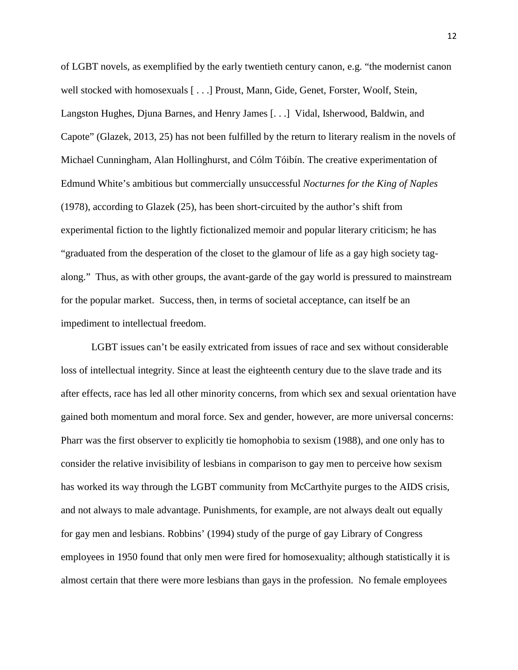of LGBT novels, as exemplified by the early twentieth century canon, e.g. "the modernist canon well stocked with homosexuals [ . . .] Proust, Mann, Gide, Genet, Forster, Woolf, Stein, Langston Hughes, Djuna Barnes, and Henry James [. . .] Vidal, Isherwood, Baldwin, and Capote" (Glazek, 2013, 25) has not been fulfilled by the return to literary realism in the novels of Michael Cunningham, Alan Hollinghurst, and Cólm Tóibín. The creative experimentation of Edmund White's ambitious but commercially unsuccessful *Nocturnes for the King of Naples* (1978), according to Glazek (25), has been short-circuited by the author's shift from experimental fiction to the lightly fictionalized memoir and popular literary criticism; he has "graduated from the desperation of the closet to the glamour of life as a gay high society tagalong." Thus, as with other groups, the avant-garde of the gay world is pressured to mainstream for the popular market. Success, then, in terms of societal acceptance, can itself be an impediment to intellectual freedom.

LGBT issues can't be easily extricated from issues of race and sex without considerable loss of intellectual integrity. Since at least the eighteenth century due to the slave trade and its after effects, race has led all other minority concerns, from which sex and sexual orientation have gained both momentum and moral force. Sex and gender, however, are more universal concerns: Pharr was the first observer to explicitly tie homophobia to sexism (1988), and one only has to consider the relative invisibility of lesbians in comparison to gay men to perceive how sexism has worked its way through the LGBT community from McCarthyite purges to the AIDS crisis, and not always to male advantage. Punishments, for example, are not always dealt out equally for gay men and lesbians. Robbins' (1994) study of the purge of gay Library of Congress employees in 1950 found that only men were fired for homosexuality; although statistically it is almost certain that there were more lesbians than gays in the profession. No female employees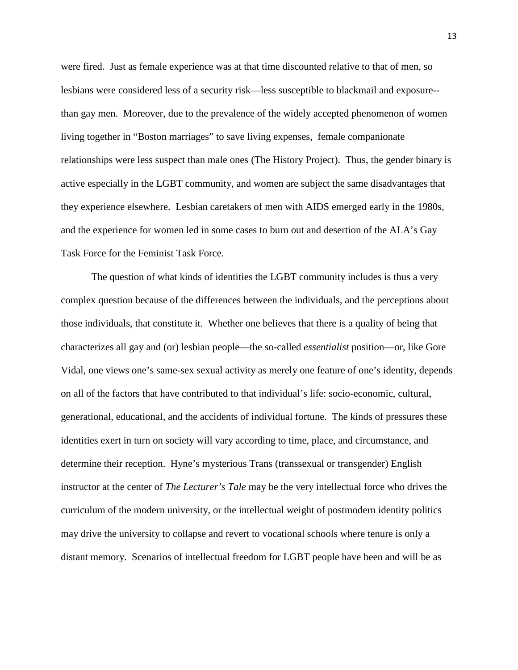were fired. Just as female experience was at that time discounted relative to that of men, so lesbians were considered less of a security risk—less susceptible to blackmail and exposure- than gay men. Moreover, due to the prevalence of the widely accepted phenomenon of women living together in "Boston marriages" to save living expenses, female companionate relationships were less suspect than male ones (The History Project). Thus, the gender binary is active especially in the LGBT community, and women are subject the same disadvantages that they experience elsewhere. Lesbian caretakers of men with AIDS emerged early in the 1980s, and the experience for women led in some cases to burn out and desertion of the ALA's Gay Task Force for the Feminist Task Force.

The question of what kinds of identities the LGBT community includes is thus a very complex question because of the differences between the individuals, and the perceptions about those individuals, that constitute it. Whether one believes that there is a quality of being that characterizes all gay and (or) lesbian people—the so-called *essentialist* position—or, like Gore Vidal, one views one's same-sex sexual activity as merely one feature of one's identity, depends on all of the factors that have contributed to that individual's life: socio-economic, cultural, generational, educational, and the accidents of individual fortune. The kinds of pressures these identities exert in turn on society will vary according to time, place, and circumstance, and determine their reception. Hyne's mysterious Trans (transsexual or transgender) English instructor at the center of *The Lecturer's Tale* may be the very intellectual force who drives the curriculum of the modern university, or the intellectual weight of postmodern identity politics may drive the university to collapse and revert to vocational schools where tenure is only a distant memory. Scenarios of intellectual freedom for LGBT people have been and will be as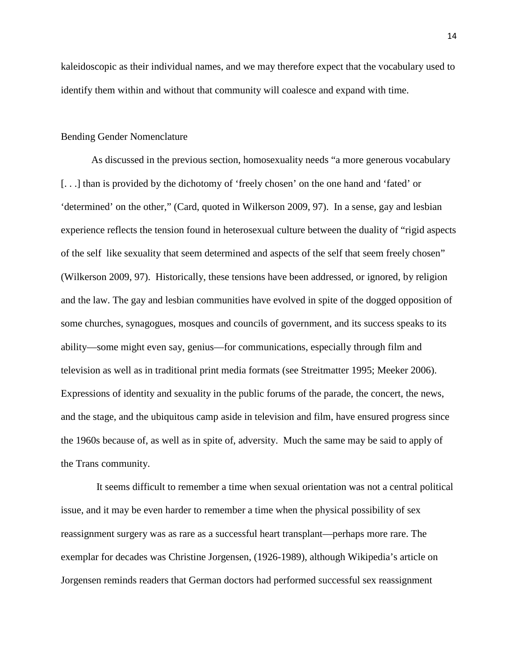kaleidoscopic as their individual names, and we may therefore expect that the vocabulary used to identify them within and without that community will coalesce and expand with time.

#### Bending Gender Nomenclature

As discussed in the previous section, homosexuality needs "a more generous vocabulary [. . .] than is provided by the dichotomy of 'freely chosen' on the one hand and 'fated' or 'determined' on the other," (Card, quoted in Wilkerson 2009, 97). In a sense, gay and lesbian experience reflects the tension found in heterosexual culture between the duality of "rigid aspects of the self like sexuality that seem determined and aspects of the self that seem freely chosen" (Wilkerson 2009, 97). Historically, these tensions have been addressed, or ignored, by religion and the law. The gay and lesbian communities have evolved in spite of the dogged opposition of some churches, synagogues, mosques and councils of government, and its success speaks to its ability—some might even say, genius—for communications, especially through film and television as well as in traditional print media formats (see Streitmatter 1995; Meeker 2006). Expressions of identity and sexuality in the public forums of the parade, the concert, the news, and the stage, and the ubiquitous camp aside in television and film, have ensured progress since the 1960s because of, as well as in spite of, adversity. Much the same may be said to apply of the Trans community.

 It seems difficult to remember a time when sexual orientation was not a central political issue, and it may be even harder to remember a time when the physical possibility of sex reassignment surgery was as rare as a successful heart transplant—perhaps more rare. The exemplar for decades was Christine Jorgensen, (1926-1989), although Wikipedia's article on Jorgensen reminds readers that German doctors had performed successful sex reassignment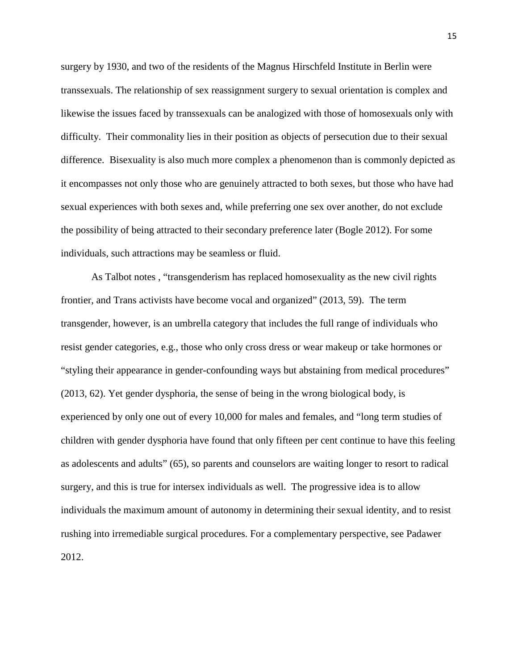surgery by 1930, and two of the residents of the Magnus Hirschfeld Institute in Berlin were transsexuals. The relationship of sex reassignment surgery to sexual orientation is complex and likewise the issues faced by transsexuals can be analogized with those of homosexuals only with difficulty. Their commonality lies in their position as objects of persecution due to their sexual difference. Bisexuality is also much more complex a phenomenon than is commonly depicted as it encompasses not only those who are genuinely attracted to both sexes, but those who have had sexual experiences with both sexes and, while preferring one sex over another, do not exclude the possibility of being attracted to their secondary preference later (Bogle 2012). For some individuals, such attractions may be seamless or fluid.

As Talbot notes , "transgenderism has replaced homosexuality as the new civil rights frontier, and Trans activists have become vocal and organized" (2013, 59). The term transgender, however, is an umbrella category that includes the full range of individuals who resist gender categories, e.g., those who only cross dress or wear makeup or take hormones or "styling their appearance in gender-confounding ways but abstaining from medical procedures" (2013, 62). Yet gender dysphoria, the sense of being in the wrong biological body, is experienced by only one out of every 10,000 for males and females, and "long term studies of children with gender dysphoria have found that only fifteen per cent continue to have this feeling as adolescents and adults" (65), so parents and counselors are waiting longer to resort to radical surgery, and this is true for intersex individuals as well. The progressive idea is to allow individuals the maximum amount of autonomy in determining their sexual identity, and to resist rushing into irremediable surgical procedures. For a complementary perspective, see Padawer 2012.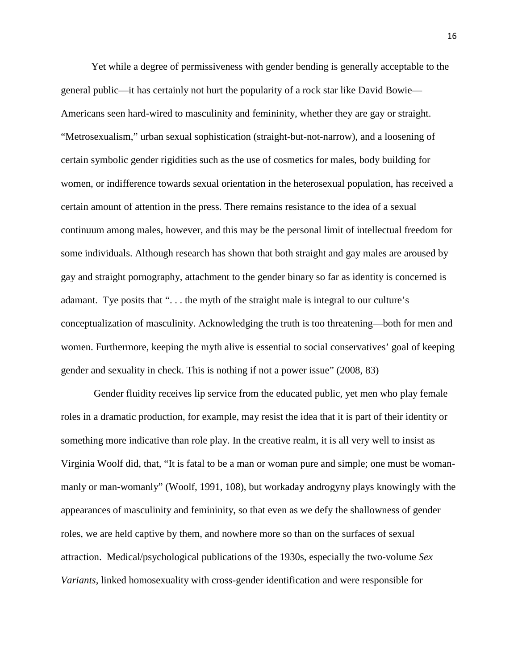Yet while a degree of permissiveness with gender bending is generally acceptable to the general public—it has certainly not hurt the popularity of a rock star like David Bowie— Americans seen hard-wired to masculinity and femininity, whether they are gay or straight. "Metrosexualism," urban sexual sophistication (straight-but-not-narrow), and a loosening of certain symbolic gender rigidities such as the use of cosmetics for males, body building for women, or indifference towards sexual orientation in the heterosexual population, has received a certain amount of attention in the press. There remains resistance to the idea of a sexual continuum among males, however, and this may be the personal limit of intellectual freedom for some individuals. Although research has shown that both straight and gay males are aroused by gay and straight pornography, attachment to the gender binary so far as identity is concerned is adamant. Tye posits that ". . . the myth of the straight male is integral to our culture's conceptualization of masculinity. Acknowledging the truth is too threatening—both for men and women. Furthermore, keeping the myth alive is essential to social conservatives' goal of keeping gender and sexuality in check. This is nothing if not a power issue" (2008, 83)

Gender fluidity receives lip service from the educated public, yet men who play female roles in a dramatic production, for example, may resist the idea that it is part of their identity or something more indicative than role play. In the creative realm, it is all very well to insist as Virginia Woolf did, that, "It is fatal to be a man or woman pure and simple; one must be womanmanly or man-womanly" (Woolf, 1991, 108), but workaday androgyny plays knowingly with the appearances of masculinity and femininity, so that even as we defy the shallowness of gender roles, we are held captive by them, and nowhere more so than on the surfaces of sexual attraction. Medical/psychological publications of the 1930s, especially the two-volume *Sex Variants*, linked homosexuality with cross-gender identification and were responsible for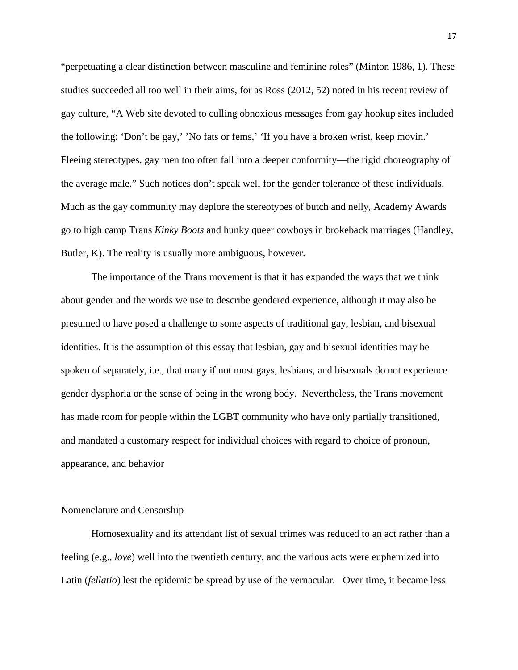"perpetuating a clear distinction between masculine and feminine roles" (Minton 1986, 1). These studies succeeded all too well in their aims, for as Ross (2012, 52) noted in his recent review of gay culture, "A Web site devoted to culling obnoxious messages from gay hookup sites included the following: 'Don't be gay,' 'No fats or fems,' 'If you have a broken wrist, keep movin.' Fleeing stereotypes, gay men too often fall into a deeper conformity—the rigid choreography of the average male." Such notices don't speak well for the gender tolerance of these individuals. Much as the gay community may deplore the stereotypes of butch and nelly, Academy Awards go to high camp Trans *Kinky Boots* and hunky queer cowboys in brokeback marriages (Handley, Butler, K). The reality is usually more ambiguous, however.

The importance of the Trans movement is that it has expanded the ways that we think about gender and the words we use to describe gendered experience, although it may also be presumed to have posed a challenge to some aspects of traditional gay, lesbian, and bisexual identities. It is the assumption of this essay that lesbian, gay and bisexual identities may be spoken of separately, i.e., that many if not most gays, lesbians, and bisexuals do not experience gender dysphoria or the sense of being in the wrong body. Nevertheless, the Trans movement has made room for people within the LGBT community who have only partially transitioned, and mandated a customary respect for individual choices with regard to choice of pronoun, appearance, and behavior

#### Nomenclature and Censorship

Homosexuality and its attendant list of sexual crimes was reduced to an act rather than a feeling (e.g., *love*) well into the twentieth century, and the various acts were euphemized into Latin (*fellatio*) lest the epidemic be spread by use of the vernacular. Over time, it became less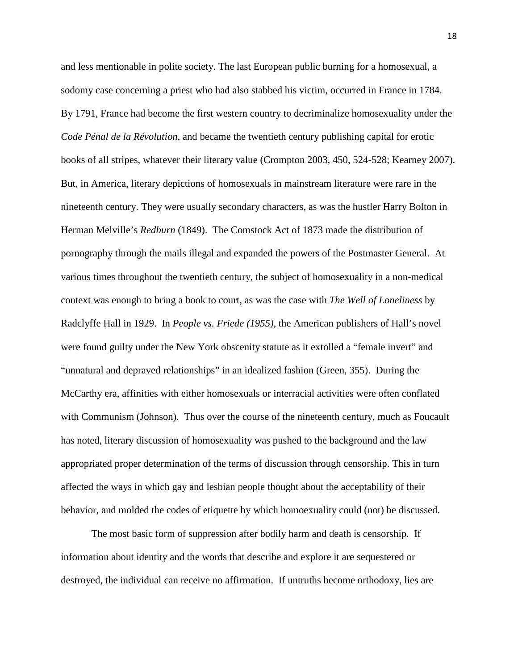and less mentionable in polite society. The last European public burning for a homosexual, a sodomy case concerning a priest who had also stabbed his victim, occurred in France in 1784. By 1791, France had become the first western country to decriminalize homosexuality under the *Code Pénal de la Révolution*, and became the twentieth century publishing capital for erotic books of all stripes, whatever their literary value (Crompton 2003, 450, 524-528; Kearney 2007). But, in America, literary depictions of homosexuals in mainstream literature were rare in the nineteenth century. They were usually secondary characters, as was the hustler Harry Bolton in Herman Melville's *Redburn* (1849). The Comstock Act of 1873 made the distribution of pornography through the mails illegal and expanded the powers of the Postmaster General. At various times throughout the twentieth century, the subject of homosexuality in a non-medical context was enough to bring a book to court, as was the case with *The Well of Loneliness* by Radclyffe Hall in 1929. In *People vs. Friede (1955)*, the American publishers of Hall's novel were found guilty under the New York obscenity statute as it extolled a "female invert" and "unnatural and depraved relationships" in an idealized fashion (Green, 355). During the McCarthy era, affinities with either homosexuals or interracial activities were often conflated with Communism (Johnson). Thus over the course of the nineteenth century, much as Foucault has noted, literary discussion of homosexuality was pushed to the background and the law appropriated proper determination of the terms of discussion through censorship. This in turn affected the ways in which gay and lesbian people thought about the acceptability of their behavior, and molded the codes of etiquette by which homoexuality could (not) be discussed.

The most basic form of suppression after bodily harm and death is censorship. If information about identity and the words that describe and explore it are sequestered or destroyed, the individual can receive no affirmation. If untruths become orthodoxy, lies are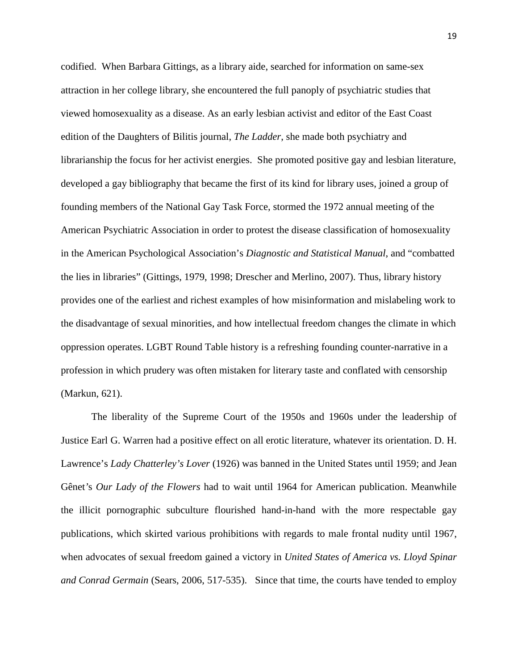codified. When Barbara Gittings, as a library aide, searched for information on same-sex attraction in her college library, she encountered the full panoply of psychiatric studies that viewed homosexuality as a disease. As an early lesbian activist and editor of the East Coast edition of the Daughters of Bilitis journal, *The Ladder*, she made both psychiatry and librarianship the focus for her activist energies. She promoted positive gay and lesbian literature, developed a gay bibliography that became the first of its kind for library uses, joined a group of founding members of the National Gay Task Force, stormed the 1972 annual meeting of the American Psychiatric Association in order to protest the disease classification of homosexuality in the American Psychological Association's *Diagnostic and Statistical Manual*, and "combatted the lies in libraries" (Gittings, 1979, 1998; Drescher and Merlino, 2007). Thus, library history provides one of the earliest and richest examples of how misinformation and mislabeling work to the disadvantage of sexual minorities, and how intellectual freedom changes the climate in which oppression operates. LGBT Round Table history is a refreshing founding counter-narrative in a profession in which prudery was often mistaken for literary taste and conflated with censorship (Markun, 621).

The liberality of the Supreme Court of the 1950s and 1960s under the leadership of Justice Earl G. Warren had a positive effect on all erotic literature, whatever its orientation. D. H. Lawrence's *Lady Chatterley's Lover* (1926) was banned in the United States until 1959; and Jean Gênet*'*s *Our Lady of the Flowers* had to wait until 1964 for American publication. Meanwhile the illicit pornographic subculture flourished hand-in-hand with the more respectable gay publications, which skirted various prohibitions with regards to male frontal nudity until 1967, when advocates of sexual freedom gained a victory in *United States of America vs. Lloyd Spinar and Conrad Germain* (Sears, 2006, 517-535). Since that time, the courts have tended to employ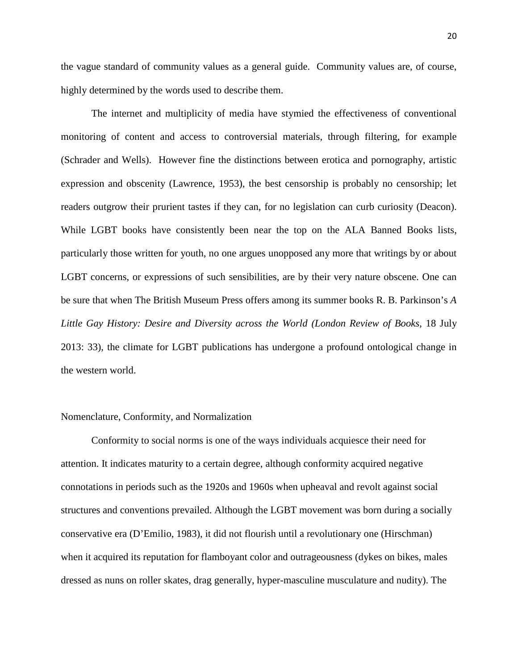the vague standard of community values as a general guide. Community values are, of course, highly determined by the words used to describe them.

The internet and multiplicity of media have stymied the effectiveness of conventional monitoring of content and access to controversial materials, through filtering, for example (Schrader and Wells). However fine the distinctions between erotica and pornography, artistic expression and obscenity (Lawrence, 1953), the best censorship is probably no censorship; let readers outgrow their prurient tastes if they can, for no legislation can curb curiosity (Deacon). While LGBT books have consistently been near the top on the ALA Banned Books lists, particularly those written for youth, no one argues unopposed any more that writings by or about LGBT concerns, or expressions of such sensibilities, are by their very nature obscene. One can be sure that when The British Museum Press offers among its summer books R. B. Parkinson's *A Little Gay History: Desire and Diversity across the World (London Review of Books*, 18 July 2013: 33), the climate for LGBT publications has undergone a profound ontological change in the western world.

## Nomenclature, Conformity, and Normalization

Conformity to social norms is one of the ways individuals acquiesce their need for attention. It indicates maturity to a certain degree, although conformity acquired negative connotations in periods such as the 1920s and 1960s when upheaval and revolt against social structures and conventions prevailed. Although the LGBT movement was born during a socially conservative era (D'Emilio, 1983), it did not flourish until a revolutionary one (Hirschman) when it acquired its reputation for flamboyant color and outrageousness (dykes on bikes, males dressed as nuns on roller skates, drag generally, hyper-masculine musculature and nudity). The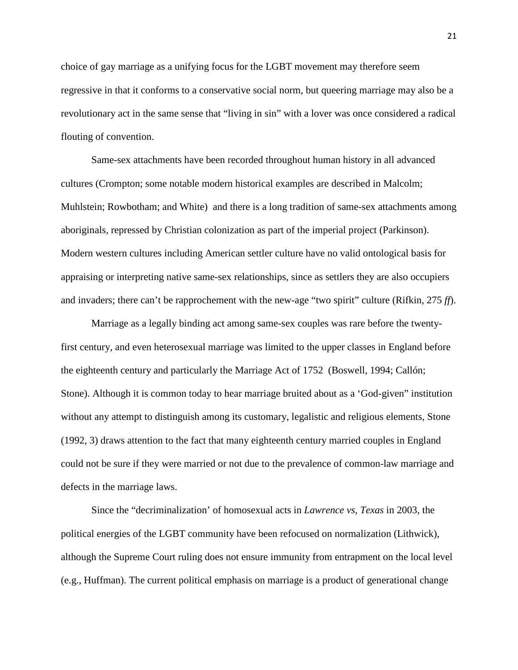choice of gay marriage as a unifying focus for the LGBT movement may therefore seem regressive in that it conforms to a conservative social norm, but queering marriage may also be a revolutionary act in the same sense that "living in sin" with a lover was once considered a radical flouting of convention.

Same-sex attachments have been recorded throughout human history in all advanced cultures (Crompton; some notable modern historical examples are described in Malcolm; Muhlstein; Rowbotham; and White) and there is a long tradition of same-sex attachments among aboriginals, repressed by Christian colonization as part of the imperial project (Parkinson). Modern western cultures including American settler culture have no valid ontological basis for appraising or interpreting native same-sex relationships, since as settlers they are also occupiers and invaders; there can't be rapprochement with the new-age "two spirit" culture (Rifkin, 275 *ff*).

Marriage as a legally binding act among same-sex couples was rare before the twentyfirst century, and even heterosexual marriage was limited to the upper classes in England before the eighteenth century and particularly the Marriage Act of 1752 (Boswell, 1994; Callón; Stone). Although it is common today to hear marriage bruited about as a 'God-given" institution without any attempt to distinguish among its customary, legalistic and religious elements, Stone (1992, 3) draws attention to the fact that many eighteenth century married couples in England could not be sure if they were married or not due to the prevalence of common-law marriage and defects in the marriage laws.

Since the "decriminalization' of homosexual acts in *Lawrence vs, Texas* in 2003, the political energies of the LGBT community have been refocused on normalization (Lithwick), although the Supreme Court ruling does not ensure immunity from entrapment on the local level (e.g., Huffman). The current political emphasis on marriage is a product of generational change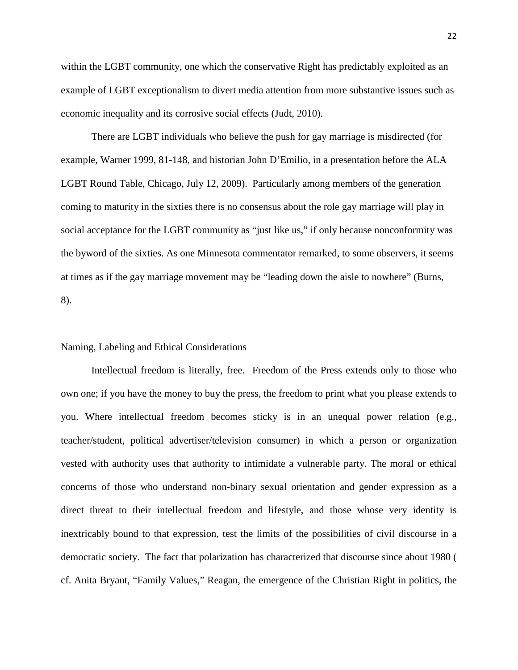within the LGBT community, one which the conservative Right has predictably exploited as an example of LGBT exceptionalism to divert media attention from more substantive issues such as economic inequality and its corrosive social effects (Judt, 2010).

There are LGBT individuals who believe the push for gay marriage is misdirected (for example, Warner 1999, 81-148, and historian John D'Emilio, in a presentation before the ALA LGBT Round Table, Chicago, July 12, 2009). Particularly among members of the generation coming to maturity in the sixties there is no consensus about the role gay marriage will play in social acceptance for the LGBT community as "just like us," if only because nonconformity was the byword of the sixties. As one Minnesota commentator remarked, to some observers, it seems at times as if the gay marriage movement may be "leading down the aisle to nowhere" (Burns, 8).

#### Naming, Labeling and Ethical Considerations

Intellectual freedom is literally, free. Freedom of the Press extends only to those who own one; if you have the money to buy the press, the freedom to print what you please extends to you. Where intellectual freedom becomes sticky is in an unequal power relation (e.g., teacher/student, political advertiser/television consumer) in which a person or organization vested with authority uses that authority to intimidate a vulnerable party. The moral or ethical concerns of those who understand non-binary sexual orientation and gender expression as a direct threat to their intellectual freedom and lifestyle, and those whose very identity is inextricably bound to that expression, test the limits of the possibilities of civil discourse in a democratic society. The fact that polarization has characterized that discourse since about 1980 ( cf. Anita Bryant, "Family Values," Reagan, the emergence of the Christian Right in politics, the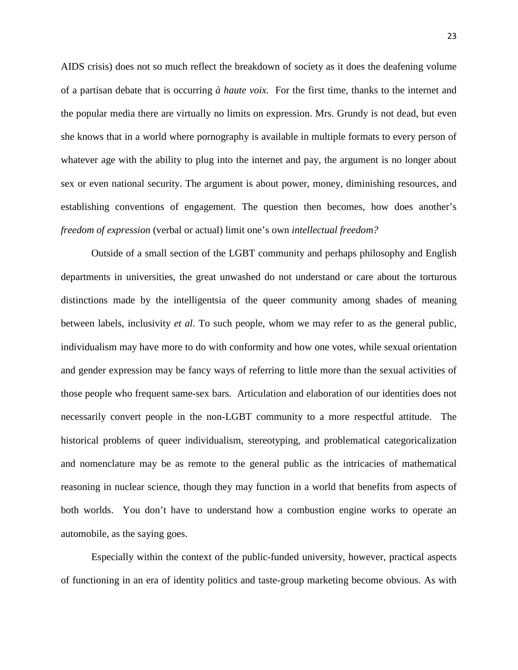AIDS crisis) does not so much reflect the breakdown of society as it does the deafening volume of a partisan debate that is occurring *à haute voix.* For the first time, thanks to the internet and the popular media there are virtually no limits on expression. Mrs. Grundy is not dead, but even she knows that in a world where pornography is available in multiple formats to every person of whatever age with the ability to plug into the internet and pay, the argument is no longer about sex or even national security. The argument is about power, money, diminishing resources, and establishing conventions of engagement. The question then becomes, how does another's *freedom of expression* (verbal or actual) limit one's own *intellectual freedom?*

Outside of a small section of the LGBT community and perhaps philosophy and English departments in universities, the great unwashed do not understand or care about the torturous distinctions made by the intelligentsia of the queer community among shades of meaning between labels, inclusivity *et al*. To such people, whom we may refer to as the general public, individualism may have more to do with conformity and how one votes, while sexual orientation and gender expression may be fancy ways of referring to little more than the sexual activities of those people who frequent same-sex bars. Articulation and elaboration of our identities does not necessarily convert people in the non-LGBT community to a more respectful attitude. The historical problems of queer individualism, stereotyping, and problematical categoricalization and nomenclature may be as remote to the general public as the intricacies of mathematical reasoning in nuclear science, though they may function in a world that benefits from aspects of both worlds. You don't have to understand how a combustion engine works to operate an automobile, as the saying goes.

Especially within the context of the public-funded university, however, practical aspects of functioning in an era of identity politics and taste-group marketing become obvious. As with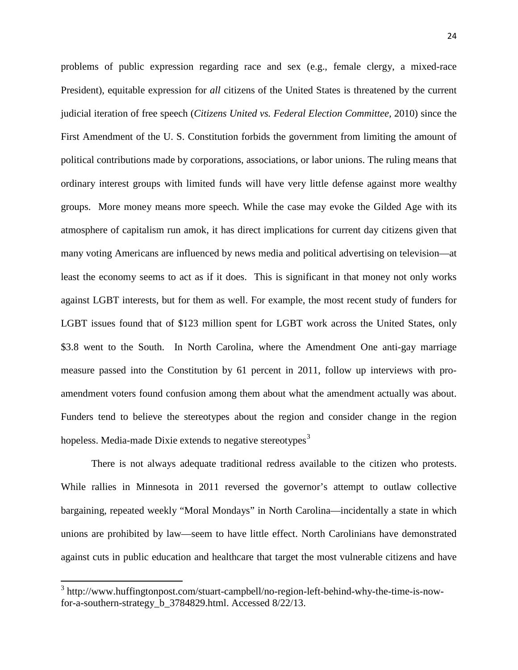problems of public expression regarding race and sex (e.g., female clergy, a mixed-race President), equitable expression for *all* citizens of the United States is threatened by the current judicial iteration of free speech (*Citizens United vs. Federal Election Committee,* 2010) since the First Amendment of the U. S. Constitution forbids the government from limiting the amount of political contributions made by corporations, associations, or labor unions. The ruling means that ordinary interest groups with limited funds will have very little defense against more wealthy groups. More money means more speech. While the case may evoke the Gilded Age with its atmosphere of capitalism run amok, it has direct implications for current day citizens given that many voting Americans are influenced by news media and political advertising on television—at least the economy seems to act as if it does. This is significant in that money not only works against LGBT interests, but for them as well. For example, the most recent study of funders for LGBT issues found that of \$123 million spent for LGBT work across the United States, only \$3.8 went to the South. In North Carolina, where the Amendment One anti-gay marriage measure passed into the Constitution by 61 percent in 2011, follow up interviews with proamendment voters found confusion among them about what the amendment actually was about. Funders tend to believe the stereotypes about the region and consider change in the region hopeless. Media-made Dixie extends to negative stereotypes<sup>[3](#page-23-0)</sup>

There is not always adequate traditional redress available to the citizen who protests. While rallies in Minnesota in 2011 reversed the governor's attempt to outlaw collective bargaining, repeated weekly "Moral Mondays" in North Carolina—incidentally a state in which unions are prohibited by law—seem to have little effect. North Carolinians have demonstrated against cuts in public education and healthcare that target the most vulnerable citizens and have

<span id="page-23-0"></span> $3$  http://www.huffingtonpost.com/stuart-campbell/no-region-left-behind-why-the-time-is-nowfor-a-southern-strategy\_b\_3784829.html. Accessed 8/22/13.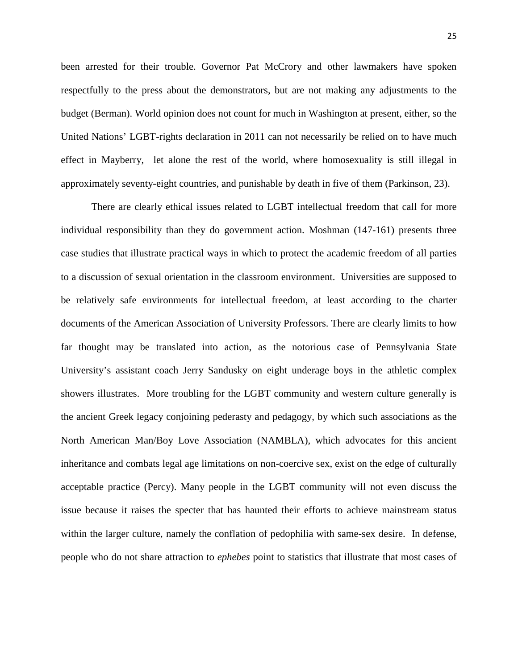been arrested for their trouble. Governor Pat McCrory and other lawmakers have spoken respectfully to the press about the demonstrators, but are not making any adjustments to the budget (Berman). World opinion does not count for much in Washington at present, either, so the United Nations' LGBT-rights declaration in 2011 can not necessarily be relied on to have much effect in Mayberry, let alone the rest of the world, where homosexuality is still illegal in approximately seventy-eight countries, and punishable by death in five of them (Parkinson, 23).

There are clearly ethical issues related to LGBT intellectual freedom that call for more individual responsibility than they do government action. Moshman (147-161) presents three case studies that illustrate practical ways in which to protect the academic freedom of all parties to a discussion of sexual orientation in the classroom environment. Universities are supposed to be relatively safe environments for intellectual freedom, at least according to the charter documents of the American Association of University Professors. There are clearly limits to how far thought may be translated into action, as the notorious case of Pennsylvania State University's assistant coach Jerry Sandusky on eight underage boys in the athletic complex showers illustrates. More troubling for the LGBT community and western culture generally is the ancient Greek legacy conjoining pederasty and pedagogy, by which such associations as the North American Man/Boy Love Association (NAMBLA), which advocates for this ancient inheritance and combats legal age limitations on non-coercive sex, exist on the edge of culturally acceptable practice (Percy). Many people in the LGBT community will not even discuss the issue because it raises the specter that has haunted their efforts to achieve mainstream status within the larger culture, namely the conflation of pedophilia with same-sex desire. In defense, people who do not share attraction to *ephebes* point to statistics that illustrate that most cases of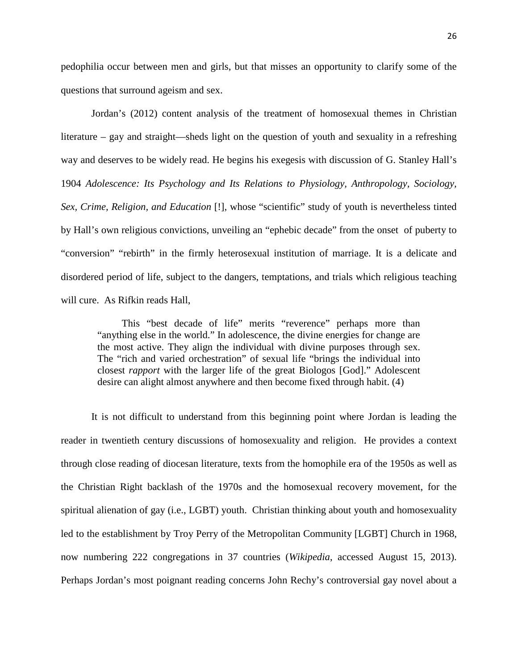pedophilia occur between men and girls, but that misses an opportunity to clarify some of the questions that surround ageism and sex.

Jordan's (2012) content analysis of the treatment of homosexual themes in Christian literature – gay and straight—sheds light on the question of youth and sexuality in a refreshing way and deserves to be widely read. He begins his exegesis with discussion of G. Stanley Hall's 1904 *Adolescence: Its Psychology and Its Relations to Physiology, Anthropology, Sociology, Sex, Crime, Religion, and Education* [!], whose "scientific" study of youth is nevertheless tinted by Hall's own religious convictions, unveiling an "ephebic decade" from the onset of puberty to "conversion" "rebirth" in the firmly heterosexual institution of marriage. It is a delicate and disordered period of life, subject to the dangers, temptations, and trials which religious teaching will cure. As Rifkin reads Hall,

This "best decade of life" merits "reverence" perhaps more than "anything else in the world." In adolescence, the divine energies for change are the most active. They align the individual with divine purposes through sex. The "rich and varied orchestration" of sexual life "brings the individual into closest *rapport* with the larger life of the great Biologos [God]." Adolescent desire can alight almost anywhere and then become fixed through habit. (4)

It is not difficult to understand from this beginning point where Jordan is leading the reader in twentieth century discussions of homosexuality and religion. He provides a context through close reading of diocesan literature, texts from the homophile era of the 1950s as well as the Christian Right backlash of the 1970s and the homosexual recovery movement, for the spiritual alienation of gay (i.e., LGBT) youth. Christian thinking about youth and homosexuality led to the establishment by Troy Perry of the Metropolitan Community [LGBT] Church in 1968, now numbering 222 congregations in 37 countries (*Wikipedia*, accessed August 15, 2013). Perhaps Jordan's most poignant reading concerns John Rechy's controversial gay novel about a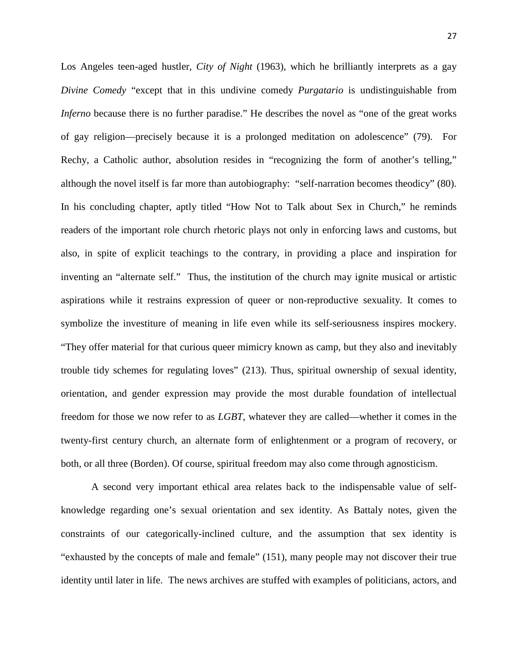Los Angeles teen-aged hustler, *City of Night* (1963), which he brilliantly interprets as a gay *Divine Comedy* "except that in this undivine comedy *Purgatario* is undistinguishable from *Inferno* because there is no further paradise." He describes the novel as "one of the great works of gay religion—precisely because it is a prolonged meditation on adolescence" (79). For Rechy, a Catholic author, absolution resides in "recognizing the form of another's telling," although the novel itself is far more than autobiography: "self-narration becomes theodicy" (80). In his concluding chapter, aptly titled "How Not to Talk about Sex in Church," he reminds readers of the important role church rhetoric plays not only in enforcing laws and customs, but also, in spite of explicit teachings to the contrary, in providing a place and inspiration for inventing an "alternate self." Thus, the institution of the church may ignite musical or artistic aspirations while it restrains expression of queer or non-reproductive sexuality. It comes to symbolize the investiture of meaning in life even while its self-seriousness inspires mockery. "They offer material for that curious queer mimicry known as camp, but they also and inevitably trouble tidy schemes for regulating loves" (213). Thus, spiritual ownership of sexual identity, orientation, and gender expression may provide the most durable foundation of intellectual freedom for those we now refer to as *LGBT*, whatever they are called—whether it comes in the twenty-first century church, an alternate form of enlightenment or a program of recovery, or both, or all three (Borden). Of course, spiritual freedom may also come through agnosticism.

A second very important ethical area relates back to the indispensable value of selfknowledge regarding one's sexual orientation and sex identity. As Battaly notes, given the constraints of our categorically-inclined culture, and the assumption that sex identity is "exhausted by the concepts of male and female" (151), many people may not discover their true identity until later in life. The news archives are stuffed with examples of politicians, actors, and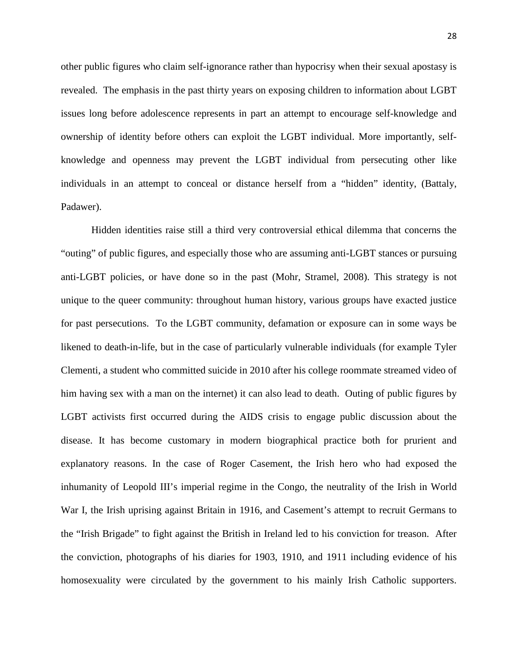other public figures who claim self-ignorance rather than hypocrisy when their sexual apostasy is revealed. The emphasis in the past thirty years on exposing children to information about LGBT issues long before adolescence represents in part an attempt to encourage self-knowledge and ownership of identity before others can exploit the LGBT individual. More importantly, selfknowledge and openness may prevent the LGBT individual from persecuting other like individuals in an attempt to conceal or distance herself from a "hidden" identity, (Battaly, Padawer).

Hidden identities raise still a third very controversial ethical dilemma that concerns the "outing" of public figures, and especially those who are assuming anti-LGBT stances or pursuing anti-LGBT policies, or have done so in the past (Mohr, Stramel, 2008). This strategy is not unique to the queer community: throughout human history, various groups have exacted justice for past persecutions. To the LGBT community, defamation or exposure can in some ways be likened to death-in-life, but in the case of particularly vulnerable individuals (for example Tyler Clementi, a student who committed suicide in 2010 after his college roommate streamed video of him having sex with a man on the internet) it can also lead to death. Outing of public figures by LGBT activists first occurred during the AIDS crisis to engage public discussion about the disease. It has become customary in modern biographical practice both for prurient and explanatory reasons. In the case of Roger Casement, the Irish hero who had exposed the inhumanity of Leopold III's imperial regime in the Congo, the neutrality of the Irish in World War I, the Irish uprising against Britain in 1916, and Casement's attempt to recruit Germans to the "Irish Brigade" to fight against the British in Ireland led to his conviction for treason. After the conviction, photographs of his diaries for 1903, 1910, and 1911 including evidence of his homosexuality were circulated by the government to his mainly Irish Catholic supporters.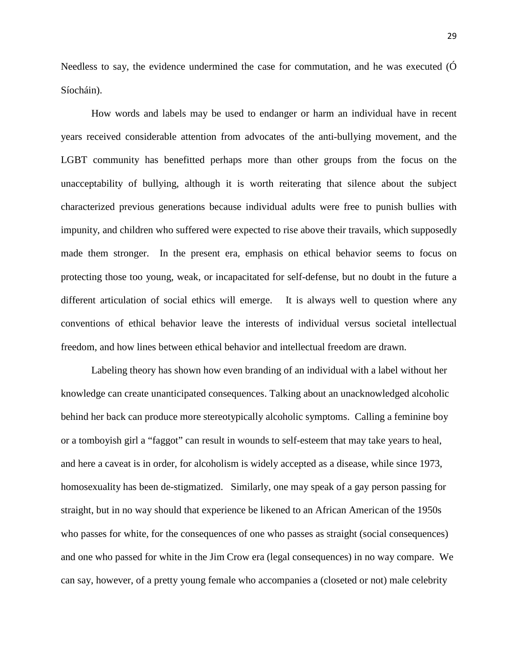Needless to say, the evidence undermined the case for commutation, and he was executed (Ó Síocháin).

How words and labels may be used to endanger or harm an individual have in recent years received considerable attention from advocates of the anti-bullying movement, and the LGBT community has benefitted perhaps more than other groups from the focus on the unacceptability of bullying, although it is worth reiterating that silence about the subject characterized previous generations because individual adults were free to punish bullies with impunity, and children who suffered were expected to rise above their travails, which supposedly made them stronger. In the present era, emphasis on ethical behavior seems to focus on protecting those too young, weak, or incapacitated for self-defense, but no doubt in the future a different articulation of social ethics will emerge. It is always well to question where any conventions of ethical behavior leave the interests of individual versus societal intellectual freedom, and how lines between ethical behavior and intellectual freedom are drawn.

Labeling theory has shown how even branding of an individual with a label without her knowledge can create unanticipated consequences. Talking about an unacknowledged alcoholic behind her back can produce more stereotypically alcoholic symptoms. Calling a feminine boy or a tomboyish girl a "faggot" can result in wounds to self-esteem that may take years to heal, and here a caveat is in order, for alcoholism is widely accepted as a disease, while since 1973, homosexuality has been de-stigmatized. Similarly, one may speak of a gay person passing for straight, but in no way should that experience be likened to an African American of the 1950s who passes for white, for the consequences of one who passes as straight (social consequences) and one who passed for white in the Jim Crow era (legal consequences) in no way compare. We can say, however, of a pretty young female who accompanies a (closeted or not) male celebrity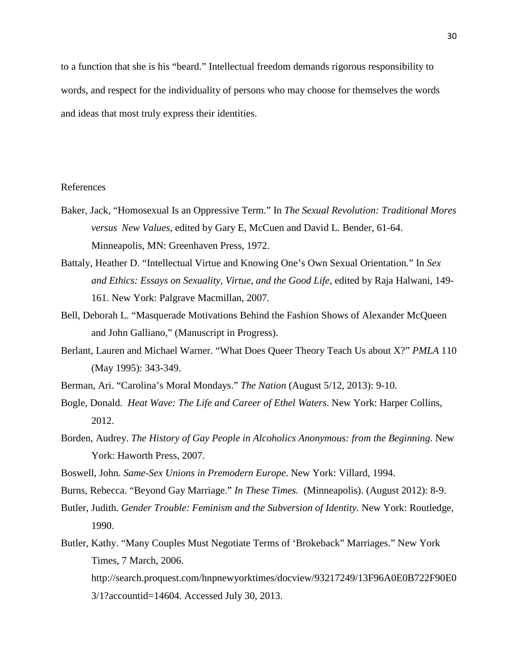to a function that she is his "beard." Intellectual freedom demands rigorous responsibility to words, and respect for the individuality of persons who may choose for themselves the words and ideas that most truly express their identities.

#### References

- Baker, Jack, "Homosexual Is an Oppressive Term." In *The Sexual Revolution: Traditional Mores versus New Values,* edited by Gary E, McCuen and David L. Bender, 61-64. Minneapolis, MN: Greenhaven Press, 1972.
- Battaly, Heather D. "Intellectual Virtue and Knowing One's Own Sexual Orientation." In *Sex and Ethics: Essays on Sexuality, Virtue, and the Good Life*, edited by Raja Halwani, 149- 161. New York: Palgrave Macmillan, 2007.
- Bell, Deborah L. "Masquerade Motivations Behind the Fashion Shows of Alexander McQueen and John Galliano," (Manuscript in Progress).
- Berlant, Lauren and Michael Warner. "What Does Queer Theory Teach Us about X?" *PMLA* 110 (May 1995): 343-349.
- Berman, Ari. "Carolina's Moral Mondays." *The Nation* (August 5/12, 2013): 9-10.
- Bogle, Donald. *Heat Wave: The Life and Career of Ethel Waters*. New York: Harper Collins, 2012.
- Borden, Audrey. *The History of Gay People in Alcoholics Anonymous: from the Beginning*. New York: Haworth Press, 2007.
- Boswell, John. *Same-Sex Unions in Premodern Europe*. New York: Villard, 1994.
- Burns, Rebecca. "Beyond Gay Marriage." *In These Times.* (Minneapolis). (August 2012): 8-9.
- Butler, Judith. *Gender Trouble: Feminism and the Subversion of Identity.* New York: Routledge, 1990.
- Butler, Kathy. "Many Couples Must Negotiate Terms of 'Brokeback" Marriages." New York Times, 7 March, 2006. [http://search.proquest.com/hnpnewyorktimes/docview/93217249/13F96A0E0B722](http://search.proquest.com/hnpnewyorktimes/docview/93217249/13F96A0E0B72)F90E0 3/1?accountid=14604. Accessed July 30, 2013.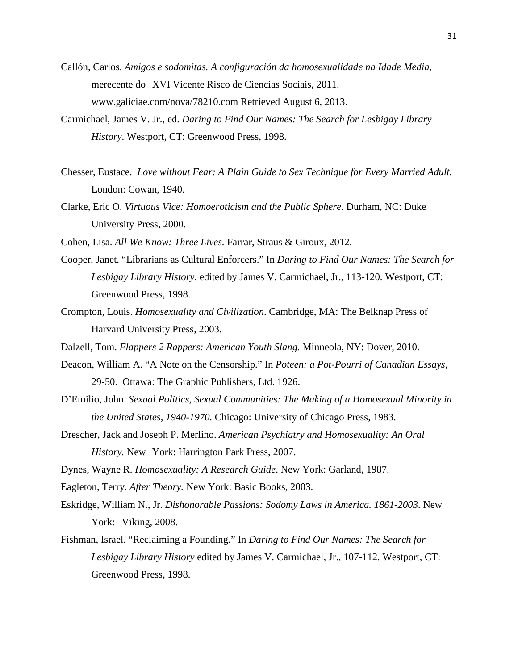- Callón, Carlos. *Amigos e sodomitas. A configuración da homosexualidade na Idade Media*, merecente do XVI Vicente Risco de Ciencias Sociais, 2011. www.galiciae.com/nova/78210.com Retrieved August 6, 2013.
- Carmichael, James V. Jr., ed. *Daring to Find Our Names: The Search for Lesbigay Library History*. Westport, CT: Greenwood Press, 1998.
- Chesser, Eustace. *Love without Fear: A Plain Guide to Sex Technique for Every Married Adult.*  London: Cowan, 1940.
- Clarke, Eric O. *Virtuous Vice: Homoeroticism and the Public Sphere*. Durham, NC: Duke University Press, 2000.
- Cohen, Lisa. *All We Know: Three Lives.* Farrar, Straus & Giroux*,* 2012.
- Cooper, Janet. "Librarians as Cultural Enforcers." In *Daring to Find Our Names: The Search for Lesbigay Library History,* edited by James V. Carmichael, Jr., 113-120. Westport, CT: Greenwood Press, 1998.
- Crompton, Louis. *Homosexuality and Civilization*. Cambridge, MA: The Belknap Press of Harvard University Press, 2003.
- Dalzell, Tom. *Flappers 2 Rappers: American Youth Slang.* Minneola, NY: Dover, 2010.
- Deacon, William A. "A Note on the Censorship." In *Poteen: a Pot-Pourri of Canadian Essays,*  29-50. Ottawa: The Graphic Publishers, Ltd. 1926.
- D'Emilio, John. *Sexual Politics, Sexual Communities: The Making of a Homosexual Minority in the United States, 1940-1970.* Chicago: University of Chicago Press, 1983.
- Drescher, Jack and Joseph P. Merlino. *American Psychiatry and Homosexuality: An Oral History.* New York: Harrington Park Press, 2007.
- Dynes, Wayne R. *Homosexuality: A Research Guide*. New York: Garland, 1987.
- Eagleton, Terry. *After Theory.* New York: Basic Books, 2003.
- Eskridge, William N., Jr. *Dishonorable Passions: Sodomy Laws in America. 1861-2003*. New York: Viking, 2008.
- Fishman, Israel. "Reclaiming a Founding." In *Daring to Find Our Names: The Search for Lesbigay Library History* edited by James V. Carmichael, Jr., 107-112. Westport, CT: Greenwood Press, 1998.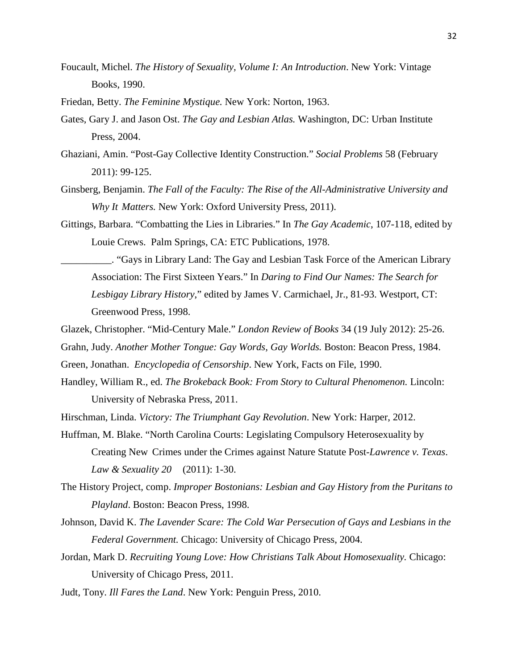- Foucault, Michel. *The History of Sexuality, Volume I: An Introduction*. New York: Vintage Books, 1990.
- Friedan, Betty. *The Feminine Mystique.* New York: Norton, 1963.
- Gates, Gary J. and Jason Ost. *The Gay and Lesbian Atlas.* Washington, DC: Urban Institute Press, 2004.
- Ghaziani, Amin. "Post-Gay Collective Identity Construction." *Social Problems* 58 (February 2011): 99-125.
- Ginsberg, Benjamin. *The Fall of the Faculty: The Rise of the All-Administrative University and Why It Matters.* New York: Oxford University Press, 2011).
- Gittings, Barbara. "Combatting the Lies in Libraries." In *The Gay Academic*, 107-118, edited by Louie Crews. Palm Springs, CA: ETC Publications, 1978.
	- \_\_\_\_\_\_\_\_\_\_. "Gays in Library Land: The Gay and Lesbian Task Force of the American Library Association: The First Sixteen Years." In *Daring to Find Our Names: The Search for Lesbigay Library History*," edited by James V. Carmichael, Jr., 81-93. Westport, CT: Greenwood Press, 1998.
- Glazek, Christopher. "Mid-Century Male." *London Review of Books* 34 (19 July 2012): 25-26.
- Grahn, Judy. *Another Mother Tongue: Gay Words, Gay Worlds.* Boston: Beacon Press, 1984.
- Green, Jonathan. *Encyclopedia of Censorship*. New York, Facts on File, 1990.
- Handley, William R., ed. *The Brokeback Book: From Story to Cultural Phenomenon.* Lincoln: University of Nebraska Press, 2011.
- Hirschman, Linda. *Victory: The Triumphant Gay Revolution*. New York: Harper, 2012.
- Huffman, M. Blake. "North Carolina Courts: Legislating Compulsory Heterosexuality by Creating New Crimes under the Crimes against Nature Statute Post-*Lawrence v. Texas*. *Law & Sexuality 20* (2011): 1-30.
- The History Project*,* comp. *Improper Bostonians: Lesbian and Gay History from the Puritans to Playland*. Boston: Beacon Press, 1998.
- Johnson, David K. *The Lavender Scare: The Cold War Persecution of Gays and Lesbians in the Federal Government.* Chicago: University of Chicago Press, 2004.
- Jordan, Mark D. *Recruiting Young Love: How Christians Talk About Homosexuality.* Chicago: University of Chicago Press, 2011.
- Judt, Tony. *Ill Fares the Land*. New York: Penguin Press, 2010.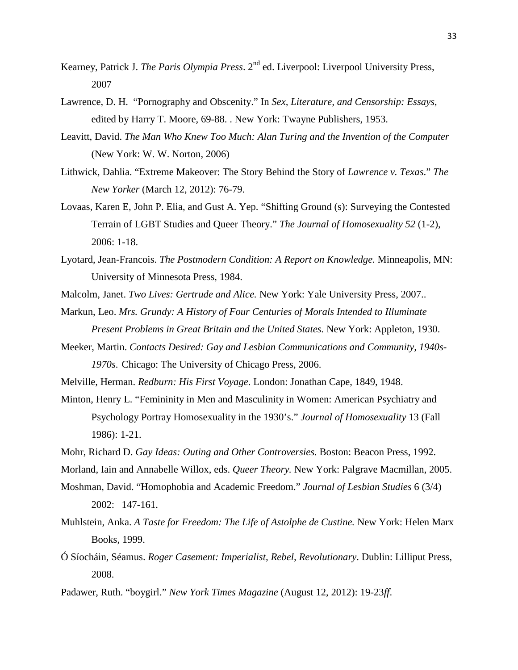- Kearney, Patrick J. *The Paris Olympia Press*. 2<sup>nd</sup> ed. Liverpool: Liverpool University Press, 2007
- Lawrence, D. H. "Pornography and Obscenity." In *Sex, Literature, and Censorship: Essays*, edited by Harry T. Moore, 69-88. . New York: Twayne Publishers, 1953.
- Leavitt, David. *The Man Who Knew Too Much: Alan Turing and the Invention of the Computer*  (New York: W. W. Norton, 2006)
- Lithwick, Dahlia. "Extreme Makeover: The Story Behind the Story of *Lawrence v. Texas*." *The New Yorker* (March 12, 2012): 76-79.
- Lovaas, Karen E, John P. Elia, and Gust A. Yep. "Shifting Ground (s): Surveying the Contested Terrain of LGBT Studies and Queer Theory." *The Journal of Homosexuality 52* (1-2), 2006: 1-18.
- Lyotard, Jean-Francois. *The Postmodern Condition: A Report on Knowledge.* Minneapolis, MN: University of Minnesota Press, 1984.
- Malcolm, Janet. *Two Lives: Gertrude and Alice.* New York: Yale University Press, 2007..
- Markun, Leo. *Mrs. Grundy: A History of Four Centuries of Morals Intended to Illuminate Present Problems in Great Britain and the United States.* New York: Appleton, 1930.
- Meeker, Martin. *Contacts Desired: Gay and Lesbian Communications and Community, 1940s-1970s*. Chicago: The University of Chicago Press, 2006.
- Melville, Herman. *Redburn: His First Voyage*. London: Jonathan Cape, 1849, 1948.
- Minton, Henry L. "Femininity in Men and Masculinity in Women: American Psychiatry and Psychology Portray Homosexuality in the 1930's." *Journal of Homosexuality* 13 (Fall 1986): 1-21.
- Mohr, Richard D. *Gay Ideas: Outing and Other Controversies.* Boston: Beacon Press, 1992.
- Morland, Iain and Annabelle Willox, eds. *Queer Theory.* New York: Palgrave Macmillan, 2005.
- Moshman, David. "Homophobia and Academic Freedom." *Journal of Lesbian Studies* 6 (3/4) 2002: 147-161.
- Muhlstein, Anka. *A Taste for Freedom: The Life of Astolphe de Custine.* New York: Helen Marx Books, 1999.
- Ó Síocháin, Séamus. *Roger Casement: Imperialist, Rebel, Revolutionary*. Dublin: Lilliput Press, 2008.
- Padawer, Ruth. "boygirl." *New York Times Magazine* (August 12, 2012): 19-23*ff*.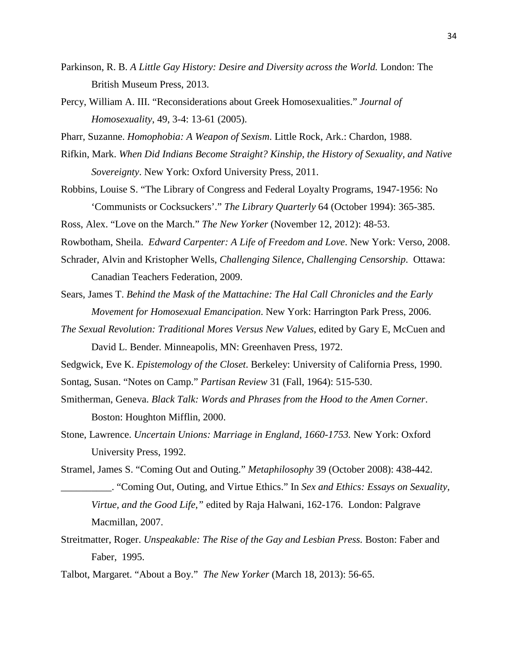- Parkinson, R. B. *A Little Gay History: Desire and Diversity across the World.* London: The British Museum Press, 2013.
- Percy, William A. III. "Reconsiderations about Greek Homosexualities." *Journal of Homosexuality*, 49, 3-4: 13-61 (2005).
- Pharr, Suzanne. *Homophobia: A Weapon of Sexism*. Little Rock, Ark.: Chardon, 1988.
- Rifkin, Mark. *When Did Indians Become Straight? Kinship, the History of Sexuality, and Native Sovereignty*. New York: Oxford University Press, 2011.
- Robbins, Louise S. "The Library of Congress and Federal Loyalty Programs, 1947-1956: No 'Communists or Cocksuckers'." *The Library Quarterly* 64 (October 1994): 365-385.
- Ross, Alex. "Love on the March." *The New Yorker* (November 12, 2012): 48-53.
- Rowbotham, Sheila. *Edward Carpenter: A Life of Freedom and Love*. New York: Verso, 2008.
- Schrader, Alvin and Kristopher Wells, *Challenging Silence, Challenging Censorship*. Ottawa: Canadian Teachers Federation, 2009.
- Sears, James T. *Behind the Mask of the Mattachine: The Hal Call Chronicles and the Early Movement for Homosexual Emancipation*. New York: Harrington Park Press, 2006.
- *The Sexual Revolution: Traditional Mores Versus New Values*, edited by Gary E, McCuen and David L. Bender*.* Minneapolis, MN: Greenhaven Press, 1972.
- Sedgwick, Eve K. *Epistemology of the Closet*. Berkeley: University of California Press, 1990.
- Sontag, Susan. "Notes on Camp." *Partisan Review* 31 (Fall, 1964): 515-530.
- Smitherman, Geneva. *Black Talk: Words and Phrases from the Hood to the Amen Corner*. Boston: Houghton Mifflin, 2000.
- Stone, Lawrence. *Uncertain Unions: Marriage in England, 1660-1753.* New York: Oxford University Press, 1992.
- Stramel, James S. "Coming Out and Outing." *Metaphilosophy* 39 (October 2008): 438-442. \_\_\_\_\_\_\_\_\_\_. "Coming Out, Outing, and Virtue Ethics." In *Sex and Ethics: Essays on Sexuality, Virtue, and the Good Life,"* edited by Raja Halwani, 162-176. London: Palgrave Macmillan, 2007.
- Streitmatter, Roger. *Unspeakable: The Rise of the Gay and Lesbian Press.* Boston: Faber and Faber, 1995.
- Talbot, Margaret. "About a Boy." *The New Yorker* (March 18, 2013): 56-65.